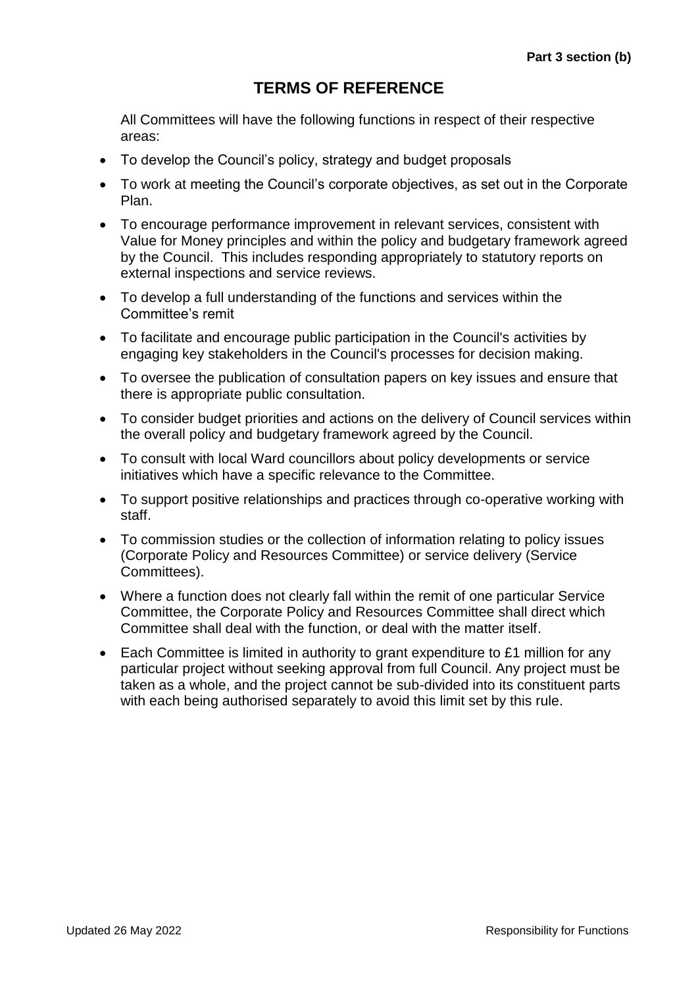# **TERMS OF REFERENCE**

All Committees will have the following functions in respect of their respective areas:

- To develop the Council's policy, strategy and budget proposals
- To work at meeting the Council's corporate objectives, as set out in the Corporate Plan.
- To encourage performance improvement in relevant services, consistent with Value for Money principles and within the policy and budgetary framework agreed by the Council. This includes responding appropriately to statutory reports on external inspections and service reviews.
- To develop a full understanding of the functions and services within the Committee's remit
- To facilitate and encourage public participation in the Council's activities by engaging key stakeholders in the Council's processes for decision making.
- To oversee the publication of consultation papers on key issues and ensure that there is appropriate public consultation.
- To consider budget priorities and actions on the delivery of Council services within the overall policy and budgetary framework agreed by the Council.
- To consult with local Ward councillors about policy developments or service initiatives which have a specific relevance to the Committee.
- To support positive relationships and practices through co-operative working with staff.
- To commission studies or the collection of information relating to policy issues (Corporate Policy and Resources Committee) or service delivery (Service Committees).
- Where a function does not clearly fall within the remit of one particular Service Committee, the Corporate Policy and Resources Committee shall direct which Committee shall deal with the function, or deal with the matter itself.
- Each Committee is limited in authority to grant expenditure to £1 million for any particular project without seeking approval from full Council. Any project must be taken as a whole, and the project cannot be sub-divided into its constituent parts with each being authorised separately to avoid this limit set by this rule.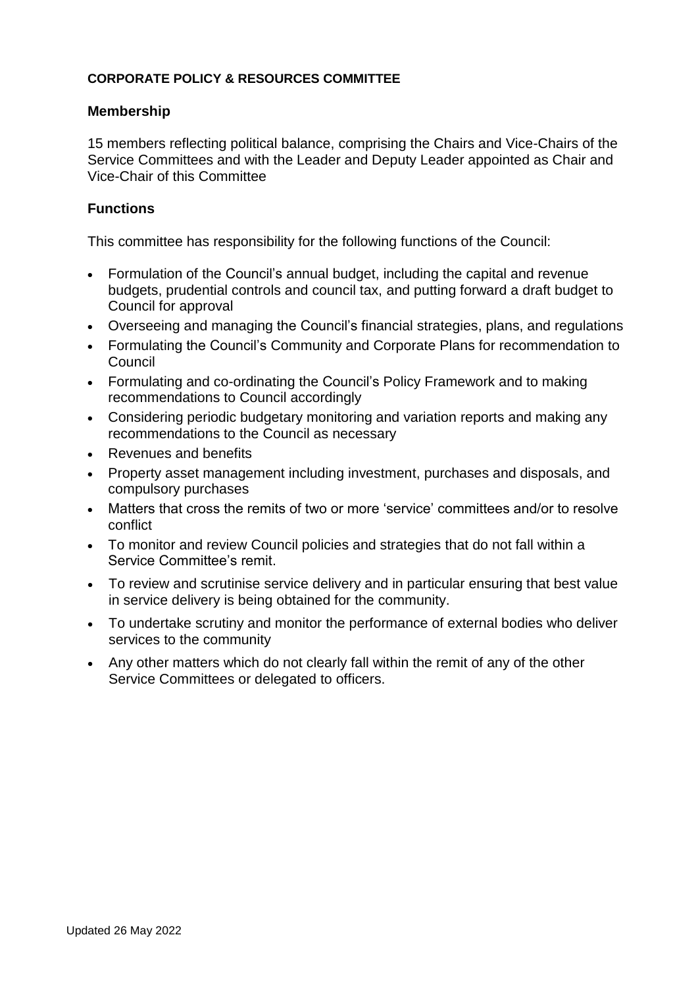#### **CORPORATE POLICY & RESOURCES COMMITTEE**

#### **Membership**

15 members reflecting political balance, comprising the Chairs and Vice-Chairs of the Service Committees and with the Leader and Deputy Leader appointed as Chair and Vice-Chair of this Committee

### **Functions**

- Formulation of the Council's annual budget, including the capital and revenue budgets, prudential controls and council tax, and putting forward a draft budget to Council for approval
- Overseeing and managing the Council's financial strategies, plans, and regulations
- Formulating the Council's Community and Corporate Plans for recommendation to **Council**
- Formulating and co-ordinating the Council's Policy Framework and to making recommendations to Council accordingly
- Considering periodic budgetary monitoring and variation reports and making any recommendations to the Council as necessary
- Revenues and benefits
- Property asset management including investment, purchases and disposals, and compulsory purchases
- Matters that cross the remits of two or more 'service' committees and/or to resolve conflict
- To monitor and review Council policies and strategies that do not fall within a Service Committee's remit.
- To review and scrutinise service delivery and in particular ensuring that best value in service delivery is being obtained for the community.
- To undertake scrutiny and monitor the performance of external bodies who deliver services to the community
- Any other matters which do not clearly fall within the remit of any of the other Service Committees or delegated to officers.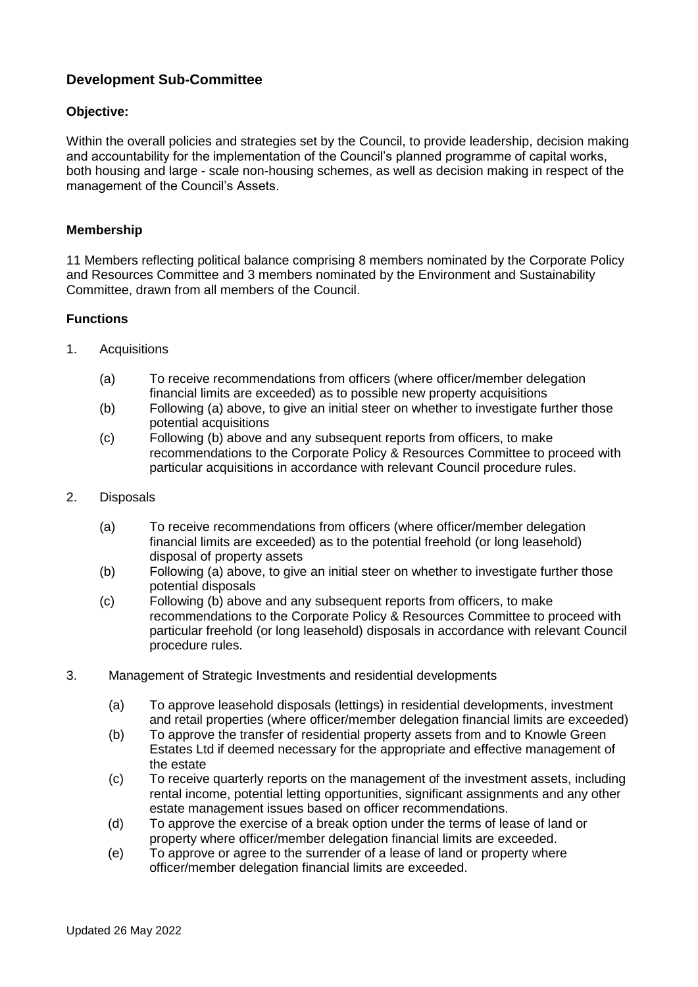### **Development Sub-Committee**

#### **Objective:**

Within the overall policies and strategies set by the Council, to provide leadership, decision making and accountability for the implementation of the Council's planned programme of capital works, both housing and large - scale non-housing schemes, as well as decision making in respect of the management of the Council's Assets.

#### **Membership**

11 Members reflecting political balance comprising 8 members nominated by the Corporate Policy and Resources Committee and 3 members nominated by the Environment and Sustainability Committee, drawn from all members of the Council.

#### **Functions**

- 1. Acquisitions
	- (a) To receive recommendations from officers (where officer/member delegation financial limits are exceeded) as to possible new property acquisitions
	- (b) Following (a) above, to give an initial steer on whether to investigate further those potential acquisitions
	- (c) Following (b) above and any subsequent reports from officers, to make recommendations to the Corporate Policy & Resources Committee to proceed with particular acquisitions in accordance with relevant Council procedure rules.
- 2. Disposals
	- (a) To receive recommendations from officers (where officer/member delegation financial limits are exceeded) as to the potential freehold (or long leasehold) disposal of property assets
	- (b) Following (a) above, to give an initial steer on whether to investigate further those potential disposals
	- (c) Following (b) above and any subsequent reports from officers, to make recommendations to the Corporate Policy & Resources Committee to proceed with particular freehold (or long leasehold) disposals in accordance with relevant Council procedure rules.
- 3. Management of Strategic Investments and residential developments
	- (a) To approve leasehold disposals (lettings) in residential developments, investment and retail properties (where officer/member delegation financial limits are exceeded)
	- (b) To approve the transfer of residential property assets from and to Knowle Green Estates Ltd if deemed necessary for the appropriate and effective management of the estate
	- (c) To receive quarterly reports on the management of the investment assets, including rental income, potential letting opportunities, significant assignments and any other estate management issues based on officer recommendations.
	- (d) To approve the exercise of a break option under the terms of lease of land or property where officer/member delegation financial limits are exceeded.
	- (e) To approve or agree to the surrender of a lease of land or property where officer/member delegation financial limits are exceeded.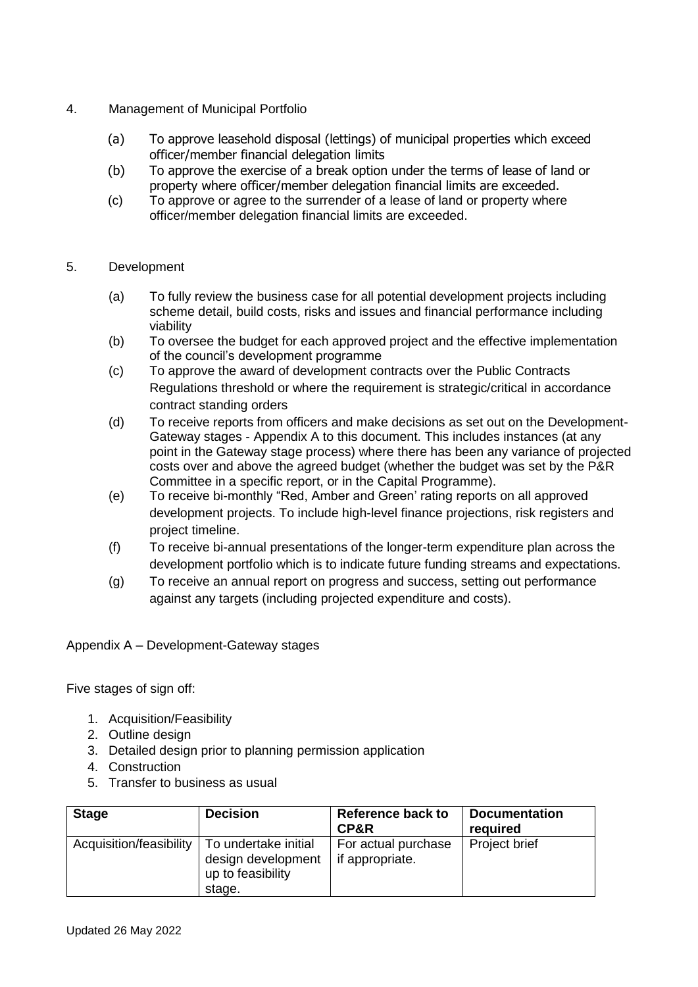- 4. Management of Municipal Portfolio
	- (a) To approve leasehold disposal (lettings) of municipal properties which exceed officer/member financial delegation limits
	- (b) To approve the exercise of a break option under the terms of lease of land or property where officer/member delegation financial limits are exceeded.
	- (c) To approve or agree to the surrender of a lease of land or property where officer/member delegation financial limits are exceeded.

#### 5. Development

- (a) To fully review the business case for all potential development projects including scheme detail, build costs, risks and issues and financial performance including viability
- (b) To oversee the budget for each approved project and the effective implementation of the council's development programme
- (c) To approve the award of development contracts over the Public Contracts Regulations threshold or where the requirement is strategic/critical in accordance contract standing orders
- (d) To receive reports from officers and make decisions as set out on the Development-Gateway stages - Appendix A to this document. This includes instances (at any point in the Gateway stage process) where there has been any variance of projected costs over and above the agreed budget (whether the budget was set by the P&R Committee in a specific report, or in the Capital Programme).
- (e) To receive bi-monthly "Red, Amber and Green' rating reports on all approved development projects. To include high-level finance projections, risk registers and project timeline.
- (f) To receive bi-annual presentations of the longer-term expenditure plan across the development portfolio which is to indicate future funding streams and expectations.
- (g) To receive an annual report on progress and success, setting out performance against any targets (including projected expenditure and costs).

Appendix A – Development-Gateway stages

Five stages of sign off:

- 1. Acquisition/Feasibility
- 2. Outline design
- 3. Detailed design prior to planning permission application
- 4. Construction
- 5. Transfer to business as usual

| <b>Stage</b>            | <b>Decision</b>                                                           | <b>Reference back to</b><br>CP&R       | <b>Documentation</b><br>required |
|-------------------------|---------------------------------------------------------------------------|----------------------------------------|----------------------------------|
| Acquisition/feasibility | To undertake initial<br>design development<br>up to feasibility<br>stage. | For actual purchase<br>if appropriate. | Project brief                    |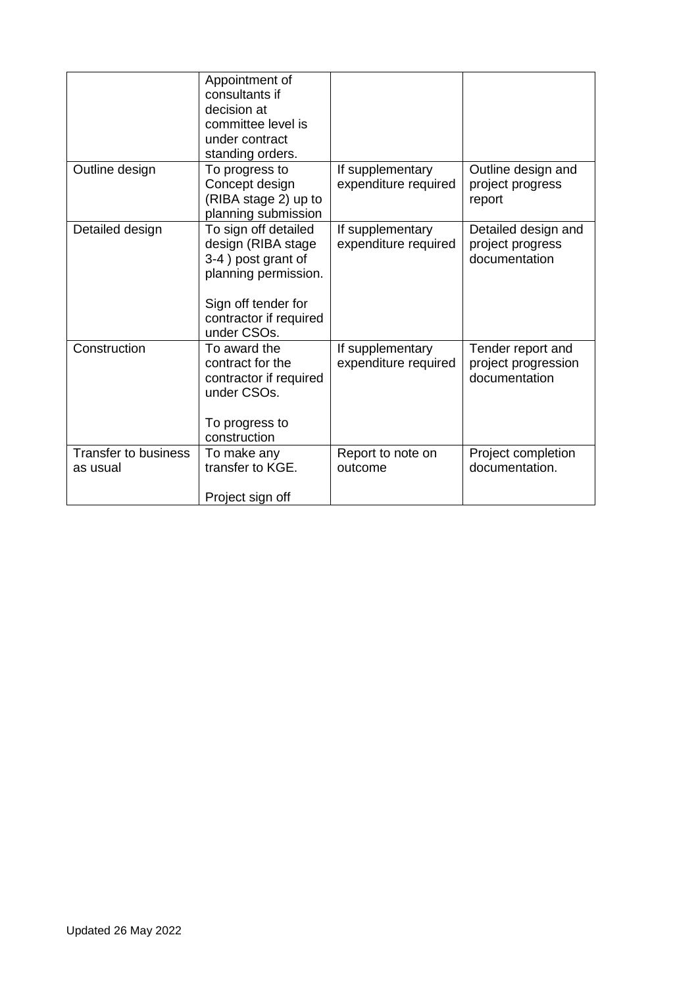|                                         | Appointment of<br>consultants if<br>decision at<br>committee level is<br>under contract<br>standing orders.                                              |                                          |                                                           |
|-----------------------------------------|----------------------------------------------------------------------------------------------------------------------------------------------------------|------------------------------------------|-----------------------------------------------------------|
| Outline design                          | To progress to<br>Concept design<br>(RIBA stage 2) up to<br>planning submission                                                                          | If supplementary<br>expenditure required | Outline design and<br>project progress<br>report          |
| Detailed design                         | To sign off detailed<br>design (RIBA stage<br>3-4) post grant of<br>planning permission.<br>Sign off tender for<br>contractor if required<br>under CSOs. | If supplementary<br>expenditure required | Detailed design and<br>project progress<br>documentation  |
| Construction                            | To award the<br>contract for the<br>contractor if required<br>under CSOs.<br>To progress to<br>construction                                              | If supplementary<br>expenditure required | Tender report and<br>project progression<br>documentation |
| <b>Transfer to business</b><br>as usual | To make any<br>transfer to KGE.<br>Project sign off                                                                                                      | Report to note on<br>outcome             | Project completion<br>documentation.                      |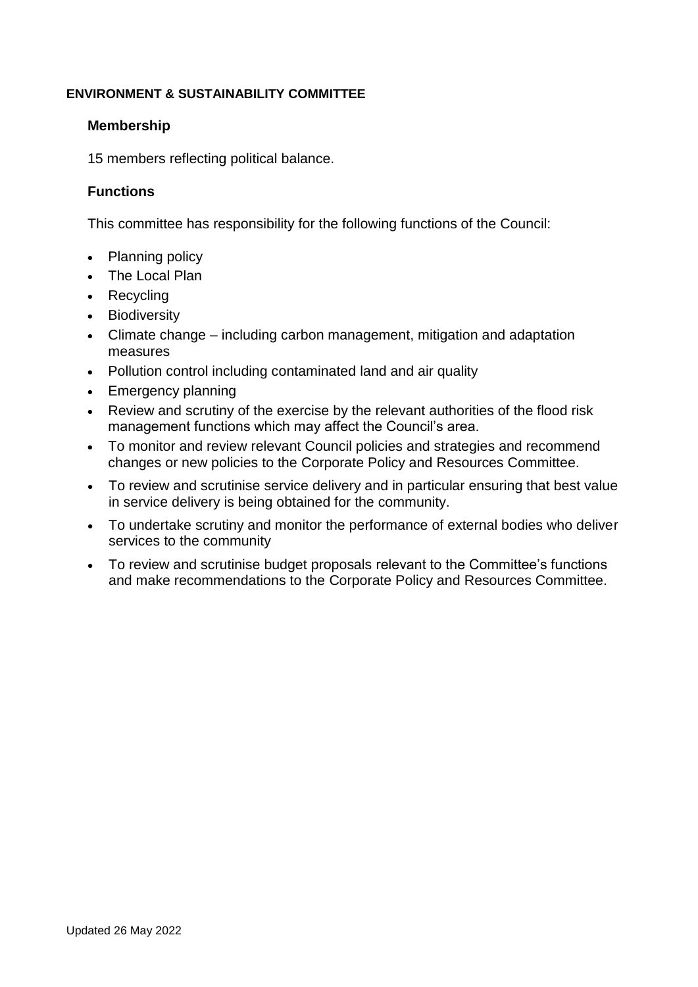#### **ENVIRONMENT & SUSTAINABILITY COMMITTEE**

#### **Membership**

15 members reflecting political balance.

#### **Functions**

- Planning policy
- The Local Plan
- Recycling
- **Biodiversity**
- Climate change including carbon management, mitigation and adaptation measures
- Pollution control including contaminated land and air quality
- Emergency planning
- Review and scrutiny of the exercise by the relevant authorities of the flood risk management functions which may affect the Council's area.
- To monitor and review relevant Council policies and strategies and recommend changes or new policies to the Corporate Policy and Resources Committee.
- To review and scrutinise service delivery and in particular ensuring that best value in service delivery is being obtained for the community.
- To undertake scrutiny and monitor the performance of external bodies who deliver services to the community
- To review and scrutinise budget proposals relevant to the Committee's functions and make recommendations to the Corporate Policy and Resources Committee.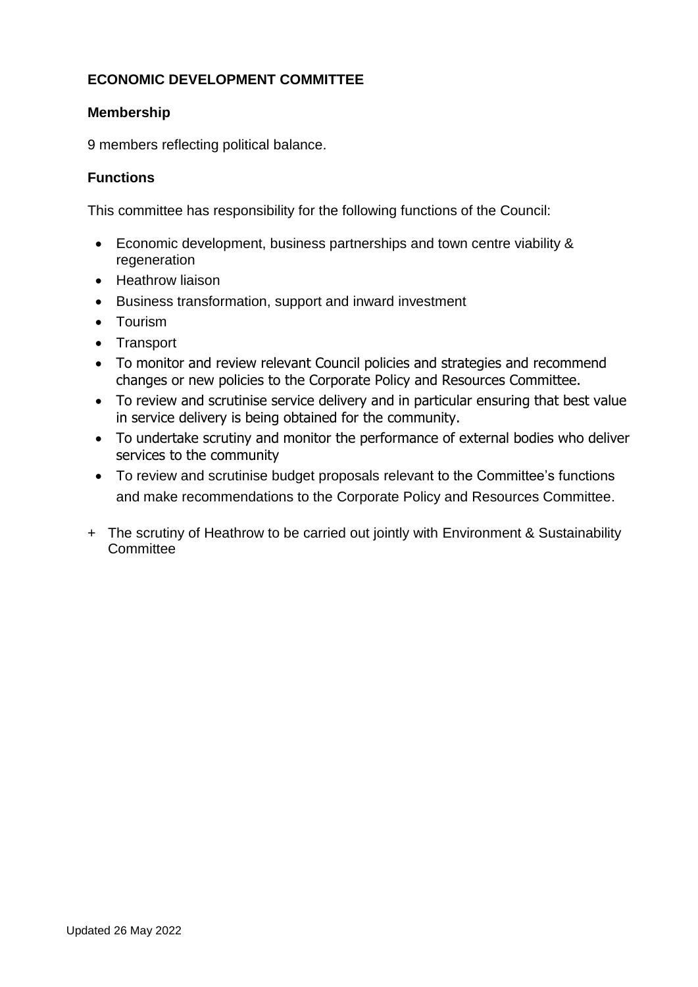## **ECONOMIC DEVELOPMENT COMMITTEE**

### **Membership**

9 members reflecting political balance.

### **Functions**

- Economic development, business partnerships and town centre viability & regeneration
- Heathrow liaison
- Business transformation, support and inward investment
- Tourism
- Transport
- To monitor and review relevant Council policies and strategies and recommend changes or new policies to the Corporate Policy and Resources Committee.
- To review and scrutinise service delivery and in particular ensuring that best value in service delivery is being obtained for the community.
- To undertake scrutiny and monitor the performance of external bodies who deliver services to the community
- To review and scrutinise budget proposals relevant to the Committee's functions and make recommendations to the Corporate Policy and Resources Committee.
- + The scrutiny of Heathrow to be carried out jointly with Environment & Sustainability **Committee**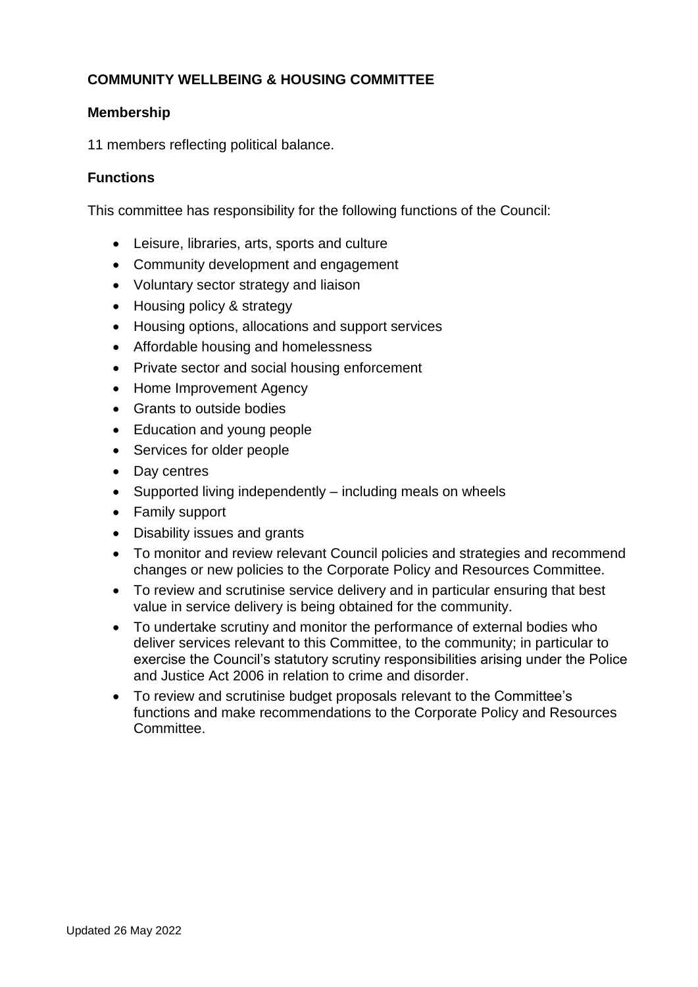## **COMMUNITY WELLBEING & HOUSING COMMITTEE**

### **Membership**

11 members reflecting political balance.

### **Functions**

- Leisure, libraries, arts, sports and culture
- Community development and engagement
- Voluntary sector strategy and liaison
- Housing policy & strategy
- Housing options, allocations and support services
- Affordable housing and homelessness
- Private sector and social housing enforcement
- Home Improvement Agency
- Grants to outside bodies
- Education and young people
- Services for older people
- Day centres
- Supported living independently including meals on wheels
- Family support
- Disability issues and grants
- To monitor and review relevant Council policies and strategies and recommend changes or new policies to the Corporate Policy and Resources Committee.
- To review and scrutinise service delivery and in particular ensuring that best value in service delivery is being obtained for the community.
- To undertake scrutiny and monitor the performance of external bodies who deliver services relevant to this Committee, to the community; in particular to exercise the Council's statutory scrutiny responsibilities arising under the Police and Justice Act 2006 in relation to crime and disorder.
- To review and scrutinise budget proposals relevant to the Committee's functions and make recommendations to the Corporate Policy and Resources Committee.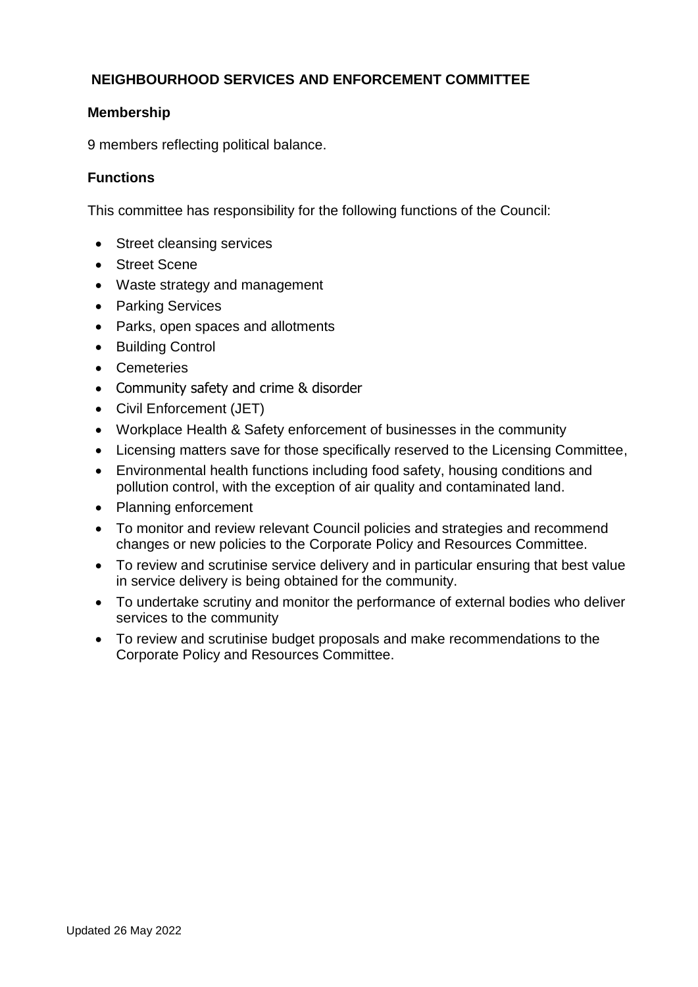## **NEIGHBOURHOOD SERVICES AND ENFORCEMENT COMMITTEE**

### **Membership**

9 members reflecting political balance.

### **Functions**

- Street cleansing services
- Street Scene
- Waste strategy and management
- Parking Services
- Parks, open spaces and allotments
- Building Control
- Cemeteries
- Community safety and crime & disorder
- Civil Enforcement (JET)
- Workplace Health & Safety enforcement of businesses in the community
- Licensing matters save for those specifically reserved to the Licensing Committee,
- Environmental health functions including food safety, housing conditions and pollution control, with the exception of air quality and contaminated land.
- Planning enforcement
- To monitor and review relevant Council policies and strategies and recommend changes or new policies to the Corporate Policy and Resources Committee.
- To review and scrutinise service delivery and in particular ensuring that best value in service delivery is being obtained for the community.
- To undertake scrutiny and monitor the performance of external bodies who deliver services to the community
- To review and scrutinise budget proposals and make recommendations to the Corporate Policy and Resources Committee.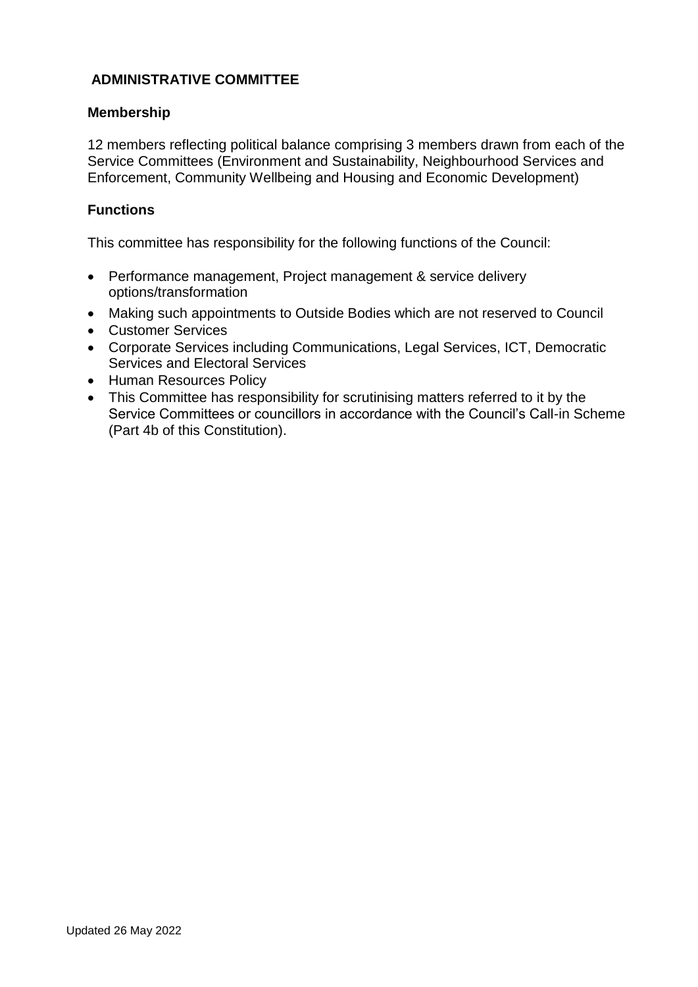### **ADMINISTRATIVE COMMITTEE**

#### **Membership**

12 members reflecting political balance comprising 3 members drawn from each of the Service Committees (Environment and Sustainability, Neighbourhood Services and Enforcement, Community Wellbeing and Housing and Economic Development)

#### **Functions**

- Performance management, Project management & service delivery options/transformation
- Making such appointments to Outside Bodies which are not reserved to Council
- Customer Services
- Corporate Services including Communications, Legal Services, ICT, Democratic Services and Electoral Services
- Human Resources Policy
- This Committee has responsibility for scrutinising matters referred to it by the Service Committees or councillors in accordance with the Council's Call-in Scheme (Part 4b of this Constitution).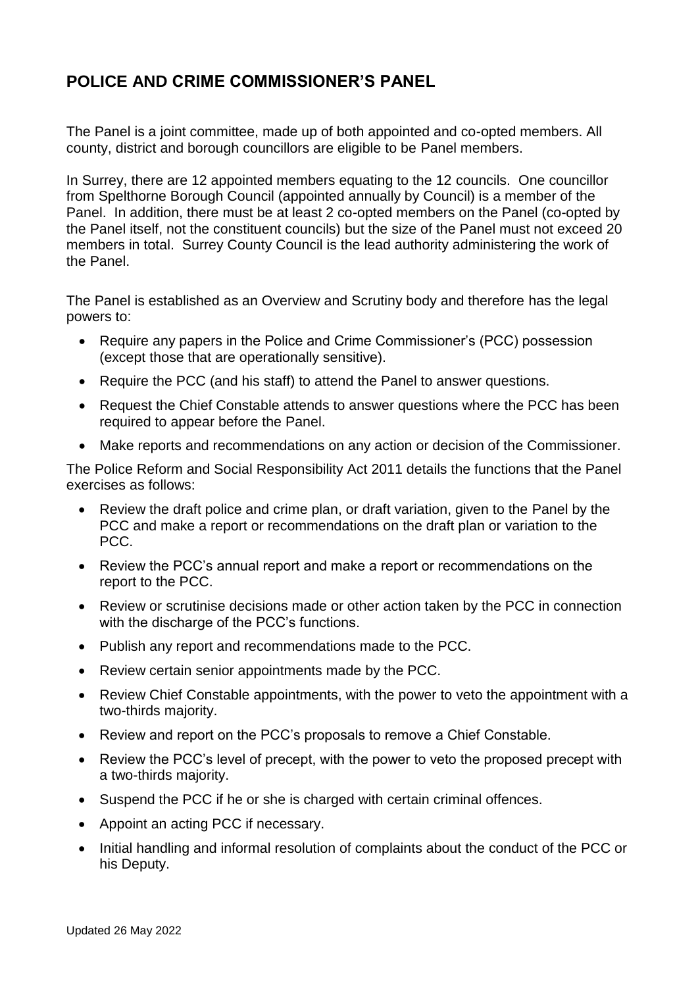# **POLICE AND CRIME COMMISSIONER'S PANEL**

The Panel is a joint committee, made up of both appointed and co-opted members. All county, district and borough councillors are eligible to be Panel members.

In Surrey, there are 12 appointed members equating to the 12 councils. One councillor from Spelthorne Borough Council (appointed annually by Council) is a member of the Panel. In addition, there must be at least 2 co-opted members on the Panel (co-opted by the Panel itself, not the constituent councils) but the size of the Panel must not exceed 20 members in total. Surrey County Council is the lead authority administering the work of the Panel.

The Panel is established as an Overview and Scrutiny body and therefore has the legal powers to:

- Require any papers in the Police and Crime Commissioner's (PCC) possession (except those that are operationally sensitive).
- Require the PCC (and his staff) to attend the Panel to answer questions.
- Request the Chief Constable attends to answer questions where the PCC has been required to appear before the Panel.
- Make reports and recommendations on any action or decision of the Commissioner.

The Police Reform and Social Responsibility Act 2011 details the functions that the Panel exercises as follows:

- Review the draft police and crime plan, or draft variation, given to the Panel by the PCC and make a report or recommendations on the draft plan or variation to the PCC.
- Review the PCC's annual report and make a report or recommendations on the report to the PCC.
- Review or scrutinise decisions made or other action taken by the PCC in connection with the discharge of the PCC's functions.
- Publish any report and recommendations made to the PCC.
- Review certain senior appointments made by the PCC.
- Review Chief Constable appointments, with the power to veto the appointment with a two-thirds majority.
- Review and report on the PCC's proposals to remove a Chief Constable.
- Review the PCC's level of precept, with the power to veto the proposed precept with a two-thirds majority.
- Suspend the PCC if he or she is charged with certain criminal offences.
- Appoint an acting PCC if necessary.
- Initial handling and informal resolution of complaints about the conduct of the PCC or his Deputy.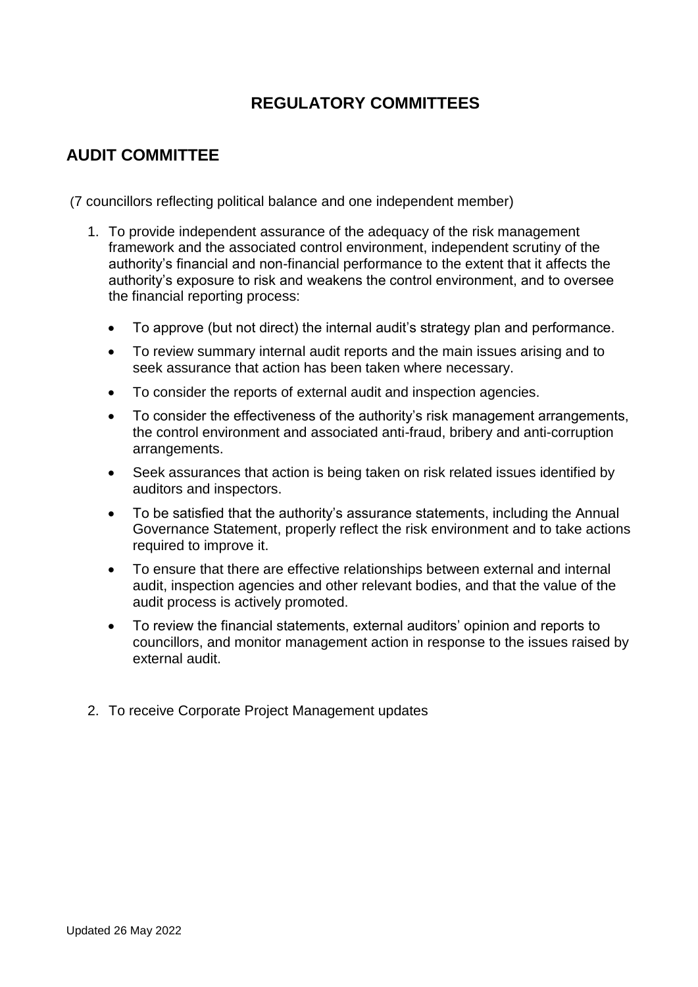# **REGULATORY COMMITTEES**

# **AUDIT COMMITTEE**

(7 councillors reflecting political balance and one independent member)

- 1. To provide independent assurance of the adequacy of the risk management framework and the associated control environment, independent scrutiny of the authority's financial and non-financial performance to the extent that it affects the authority's exposure to risk and weakens the control environment, and to oversee the financial reporting process:
	- To approve (but not direct) the internal audit's strategy plan and performance.
	- To review summary internal audit reports and the main issues arising and to seek assurance that action has been taken where necessary.
	- To consider the reports of external audit and inspection agencies.
	- To consider the effectiveness of the authority's risk management arrangements, the control environment and associated anti-fraud, bribery and anti-corruption arrangements.
	- Seek assurances that action is being taken on risk related issues identified by auditors and inspectors.
	- To be satisfied that the authority's assurance statements, including the Annual Governance Statement, properly reflect the risk environment and to take actions required to improve it.
	- To ensure that there are effective relationships between external and internal audit, inspection agencies and other relevant bodies, and that the value of the audit process is actively promoted.
	- To review the financial statements, external auditors' opinion and reports to councillors, and monitor management action in response to the issues raised by external audit.
- 2. To receive Corporate Project Management updates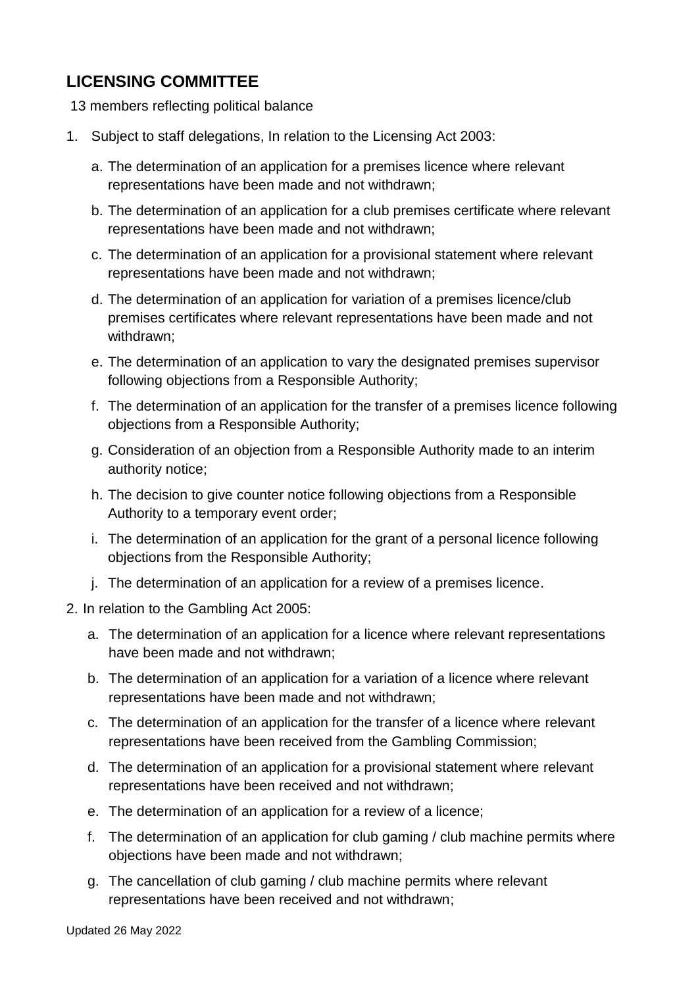# **LICENSING COMMITTEE**

13 members reflecting political balance

- 1. Subject to staff delegations, In relation to the Licensing Act 2003:
	- a. The determination of an application for a premises licence where relevant representations have been made and not withdrawn;
	- b. The determination of an application for a club premises certificate where relevant representations have been made and not withdrawn;
	- c. The determination of an application for a provisional statement where relevant representations have been made and not withdrawn;
	- d. The determination of an application for variation of a premises licence/club premises certificates where relevant representations have been made and not withdrawn;
	- e. The determination of an application to vary the designated premises supervisor following objections from a Responsible Authority;
	- f. The determination of an application for the transfer of a premises licence following objections from a Responsible Authority;
	- g. Consideration of an objection from a Responsible Authority made to an interim authority notice;
	- h. The decision to give counter notice following objections from a Responsible Authority to a temporary event order;
	- i. The determination of an application for the grant of a personal licence following objections from the Responsible Authority;
	- j. The determination of an application for a review of a premises licence.
- 2. In relation to the Gambling Act 2005:
	- a. The determination of an application for a licence where relevant representations have been made and not withdrawn;
	- b. The determination of an application for a variation of a licence where relevant representations have been made and not withdrawn;
	- c. The determination of an application for the transfer of a licence where relevant representations have been received from the Gambling Commission;
	- d. The determination of an application for a provisional statement where relevant representations have been received and not withdrawn;
	- e. The determination of an application for a review of a licence;
	- f. The determination of an application for club gaming / club machine permits where objections have been made and not withdrawn;
	- g. The cancellation of club gaming / club machine permits where relevant representations have been received and not withdrawn;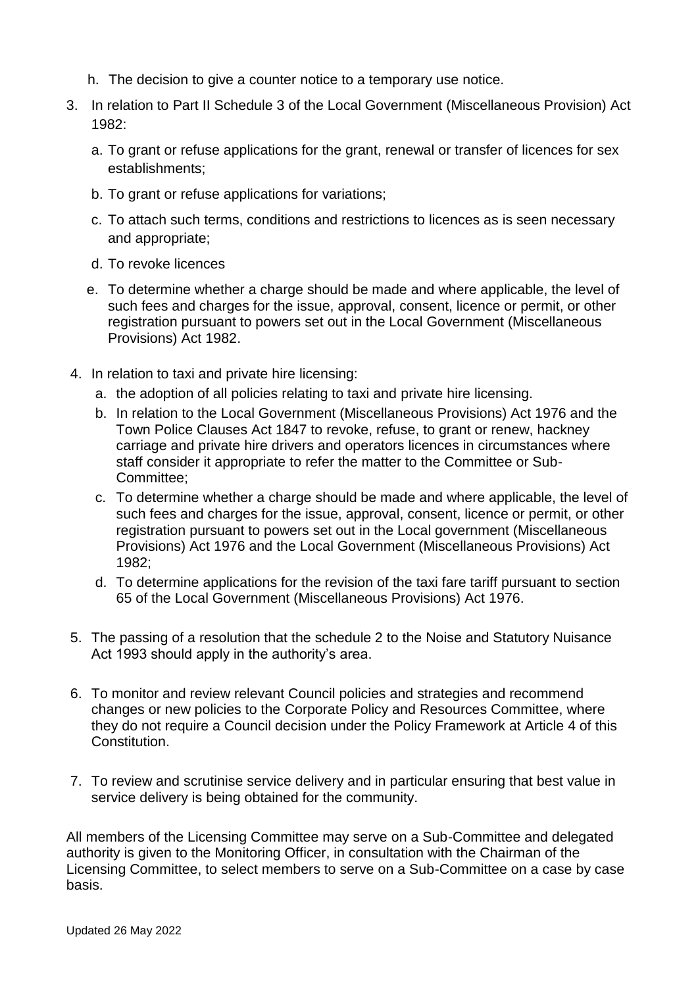- h. The decision to give a counter notice to a temporary use notice.
- 3. In relation to Part II Schedule 3 of the Local Government (Miscellaneous Provision) Act 1982:
	- a. To grant or refuse applications for the grant, renewal or transfer of licences for sex establishments;
	- b. To grant or refuse applications for variations;
	- c. To attach such terms, conditions and restrictions to licences as is seen necessary and appropriate;
	- d. To revoke licences
	- e. To determine whether a charge should be made and where applicable, the level of such fees and charges for the issue, approval, consent, licence or permit, or other registration pursuant to powers set out in the Local Government (Miscellaneous Provisions) Act 1982.
- 4. In relation to taxi and private hire licensing:
	- a. the adoption of all policies relating to taxi and private hire licensing.
	- b. In relation to the Local Government (Miscellaneous Provisions) Act 1976 and the Town Police Clauses Act 1847 to revoke, refuse, to grant or renew, hackney carriage and private hire drivers and operators licences in circumstances where staff consider it appropriate to refer the matter to the Committee or Sub-Committee;
	- c. To determine whether a charge should be made and where applicable, the level of such fees and charges for the issue, approval, consent, licence or permit, or other registration pursuant to powers set out in the Local government (Miscellaneous Provisions) Act 1976 and the Local Government (Miscellaneous Provisions) Act 1982;
	- d. To determine applications for the revision of the taxi fare tariff pursuant to section 65 of the Local Government (Miscellaneous Provisions) Act 1976.
- 5. The passing of a resolution that the schedule 2 to the Noise and Statutory Nuisance Act 1993 should apply in the authority's area.
- 6. To monitor and review relevant Council policies and strategies and recommend changes or new policies to the Corporate Policy and Resources Committee, where they do not require a Council decision under the Policy Framework at Article 4 of this Constitution.
- 7. To review and scrutinise service delivery and in particular ensuring that best value in service delivery is being obtained for the community.

All members of the Licensing Committee may serve on a Sub-Committee and delegated authority is given to the Monitoring Officer, in consultation with the Chairman of the Licensing Committee, to select members to serve on a Sub-Committee on a case by case basis.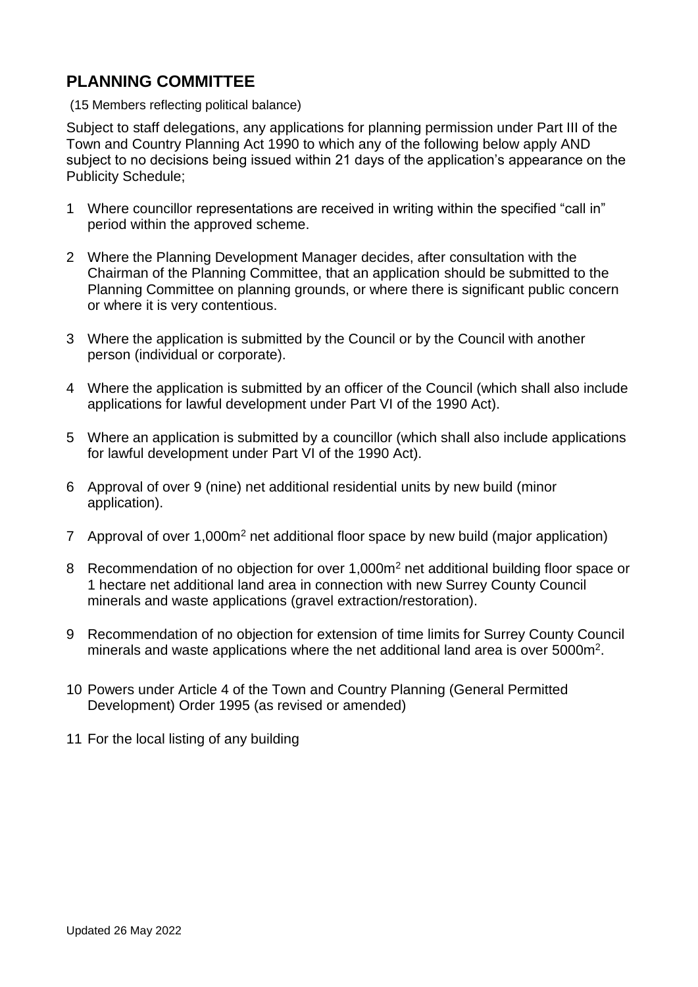# **PLANNING COMMITTEE**

(15 Members reflecting political balance)

Subject to staff delegations, any applications for planning permission under Part III of the Town and Country Planning Act 1990 to which any of the following below apply AND subject to no decisions being issued within 21 days of the application's appearance on the Publicity Schedule;

- 1 Where councillor representations are received in writing within the specified "call in" period within the approved scheme.
- 2 Where the Planning Development Manager decides, after consultation with the Chairman of the Planning Committee, that an application should be submitted to the Planning Committee on planning grounds, or where there is significant public concern or where it is very contentious.
- 3 Where the application is submitted by the Council or by the Council with another person (individual or corporate).
- 4 Where the application is submitted by an officer of the Council (which shall also include applications for lawful development under Part VI of the 1990 Act).
- 5 Where an application is submitted by a councillor (which shall also include applications for lawful development under Part VI of the 1990 Act).
- 6 Approval of over 9 (nine) net additional residential units by new build (minor application).
- 7 Approval of over 1,000m<sup>2</sup> net additional floor space by new build (major application)
- 8 Recommendation of no objection for over 1,000m<sup>2</sup> net additional building floor space or 1 hectare net additional land area in connection with new Surrey County Council minerals and waste applications (gravel extraction/restoration).
- 9 Recommendation of no objection for extension of time limits for Surrey County Council minerals and waste applications where the net additional land area is over  $5000m^2$ .
- 10 Powers under Article 4 of the Town and Country Planning (General Permitted Development) Order 1995 (as revised or amended)
- 11 For the local listing of any building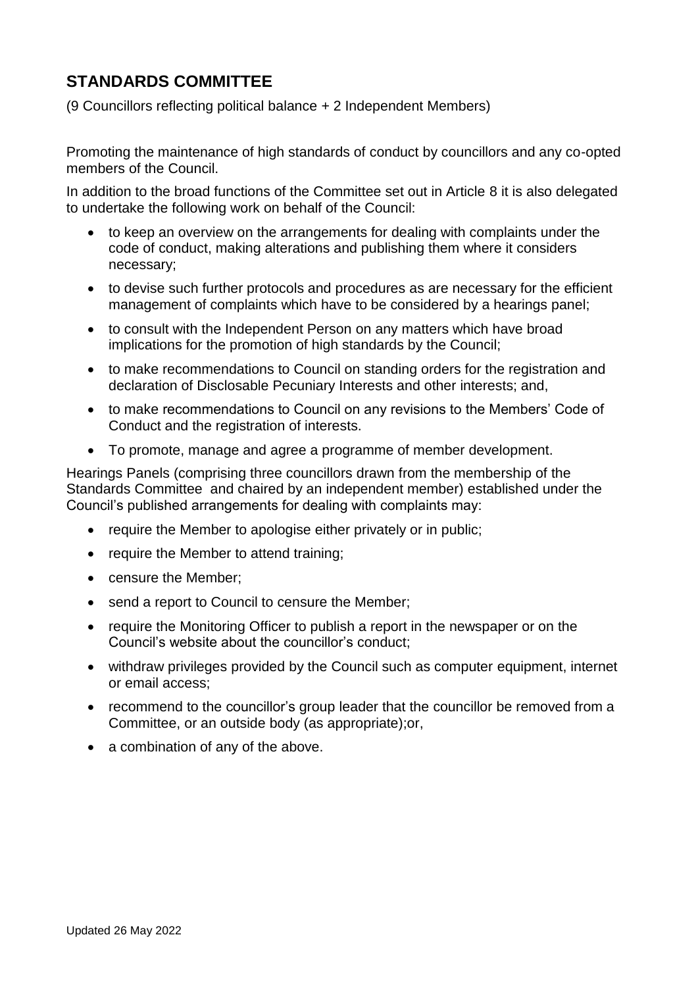# **STANDARDS COMMITTEE**

(9 Councillors reflecting political balance + 2 Independent Members)

Promoting the maintenance of high standards of conduct by councillors and any co-opted members of the Council.

In addition to the broad functions of the Committee set out in Article 8 it is also delegated to undertake the following work on behalf of the Council:

- to keep an overview on the arrangements for dealing with complaints under the code of conduct, making alterations and publishing them where it considers necessary;
- to devise such further protocols and procedures as are necessary for the efficient management of complaints which have to be considered by a hearings panel;
- to consult with the Independent Person on any matters which have broad implications for the promotion of high standards by the Council;
- to make recommendations to Council on standing orders for the registration and declaration of Disclosable Pecuniary Interests and other interests; and,
- to make recommendations to Council on any revisions to the Members' Code of Conduct and the registration of interests.
- To promote, manage and agree a programme of member development.

Hearings Panels (comprising three councillors drawn from the membership of the Standards Committee and chaired by an independent member) established under the Council's published arrangements for dealing with complaints may:

- require the Member to apologise either privately or in public;
- require the Member to attend training;
- censure the Member;
- send a report to Council to censure the Member;
- require the Monitoring Officer to publish a report in the newspaper or on the Council's website about the councillor's conduct;
- withdraw privileges provided by the Council such as computer equipment, internet or email access;
- recommend to the councillor's group leader that the councillor be removed from a Committee, or an outside body (as appropriate);or,
- a combination of any of the above.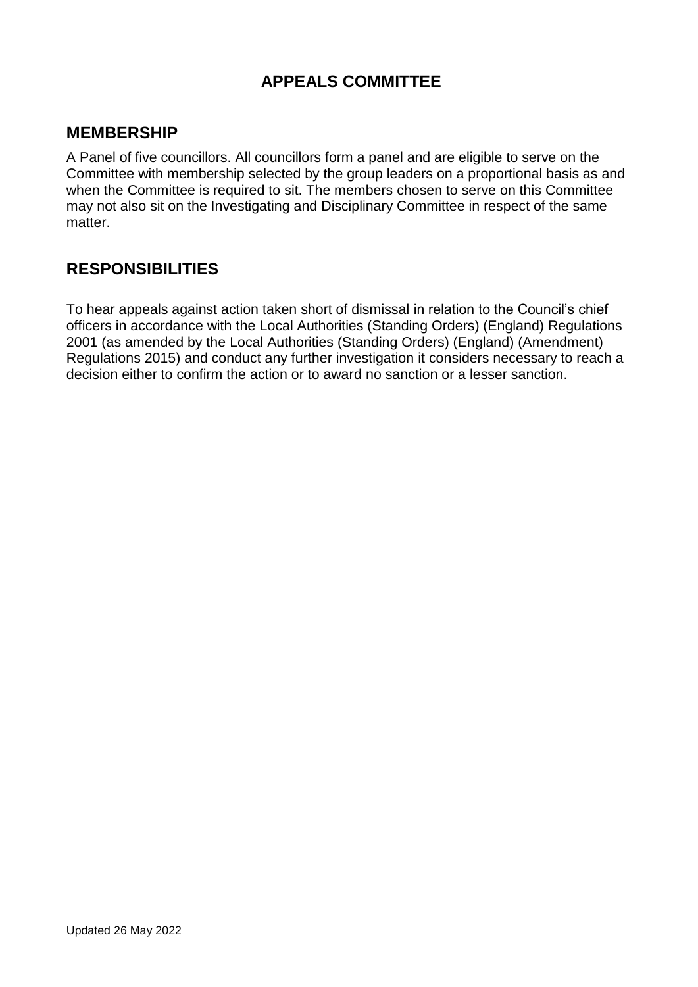# **APPEALS COMMITTEE**

# **MEMBERSHIP**

A Panel of five councillors. All councillors form a panel and are eligible to serve on the Committee with membership selected by the group leaders on a proportional basis as and when the Committee is required to sit. The members chosen to serve on this Committee may not also sit on the Investigating and Disciplinary Committee in respect of the same matter.

## **RESPONSIBILITIES**

To hear appeals against action taken short of dismissal in relation to the Council's chief officers in accordance with the Local Authorities (Standing Orders) (England) Regulations 2001 (as amended by the Local Authorities (Standing Orders) (England) (Amendment) Regulations 2015) and conduct any further investigation it considers necessary to reach a decision either to confirm the action or to award no sanction or a lesser sanction.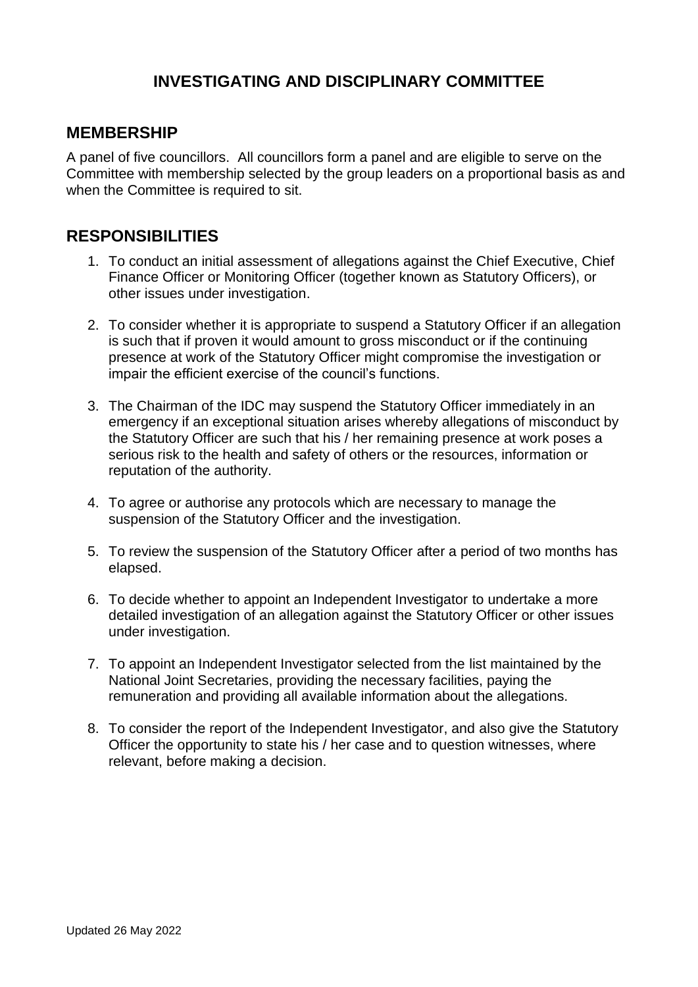# **INVESTIGATING AND DISCIPLINARY COMMITTEE**

## **MEMBERSHIP**

A panel of five councillors. All councillors form a panel and are eligible to serve on the Committee with membership selected by the group leaders on a proportional basis as and when the Committee is required to sit.

## **RESPONSIBILITIES**

- 1. To conduct an initial assessment of allegations against the Chief Executive, Chief Finance Officer or Monitoring Officer (together known as Statutory Officers), or other issues under investigation.
- 2. To consider whether it is appropriate to suspend a Statutory Officer if an allegation is such that if proven it would amount to gross misconduct or if the continuing presence at work of the Statutory Officer might compromise the investigation or impair the efficient exercise of the council's functions.
- 3. The Chairman of the IDC may suspend the Statutory Officer immediately in an emergency if an exceptional situation arises whereby allegations of misconduct by the Statutory Officer are such that his / her remaining presence at work poses a serious risk to the health and safety of others or the resources, information or reputation of the authority.
- 4. To agree or authorise any protocols which are necessary to manage the suspension of the Statutory Officer and the investigation.
- 5. To review the suspension of the Statutory Officer after a period of two months has elapsed.
- 6. To decide whether to appoint an Independent Investigator to undertake a more detailed investigation of an allegation against the Statutory Officer or other issues under investigation.
- 7. To appoint an Independent Investigator selected from the list maintained by the National Joint Secretaries, providing the necessary facilities, paying the remuneration and providing all available information about the allegations.
- 8. To consider the report of the Independent Investigator, and also give the Statutory Officer the opportunity to state his / her case and to question witnesses, where relevant, before making a decision.